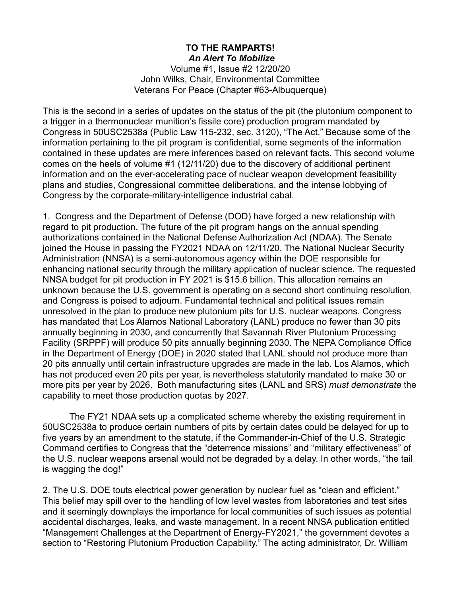## **TO THE RAMPARTS!**  *An Alert To Mobilize*

Volume #1, Issue #2 12/20/20 John Wilks, Chair, Environmental Committee Veterans For Peace (Chapter #63-Albuquerque)

This is the second in a series of updates on the status of the pit (the plutonium component to a trigger in a thermonuclear munition's fissile core) production program mandated by Congress in 50USC2538a (Public Law 115-232, sec. 3120), "The Act." Because some of the information pertaining to the pit program is confidential, some segments of the information contained in these updates are mere inferences based on relevant facts. This second volume comes on the heels of volume #1 (12/11/20) due to the discovery of additional pertinent information and on the ever-accelerating pace of nuclear weapon development feasibility plans and studies, Congressional committee deliberations, and the intense lobbying of Congress by the corporate-military-intelligence industrial cabal.

1. Congress and the Department of Defense (DOD) have forged a new relationship with regard to pit production. The future of the pit program hangs on the annual spending authorizations contained in the National Defense Authorization Act (NDAA). The Senate joined the House in passing the FY2021 NDAA on 12/11/20. The National Nuclear Security Administration (NNSA) is a semi-autonomous agency within the DOE responsible for enhancing national security through the military application of nuclear science. The requested NNSA budget for pit production in FY 2021 is \$15.6 billion. This allocation remains an unknown because the U.S. government is operating on a second short continuing resolution, and Congress is poised to adjourn. Fundamental technical and political issues remain unresolved in the plan to produce new plutonium pits for U.S. nuclear weapons. Congress has mandated that Los Alamos National Laboratory (LANL) produce no fewer than 30 pits annually beginning in 2030, and concurrently that Savannah River Plutonium Processing Facility (SRPPF) will produce 50 pits annually beginning 2030. The NEPA Compliance Office in the Department of Energy (DOE) in 2020 stated that LANL should not produce more than 20 pits annually until certain infrastructure upgrades are made in the lab. Los Alamos, which has not produced even 20 pits per year, is nevertheless statutorily mandated to make 30 or more pits per year by 2026. Both manufacturing sites (LANL and SRS) *must demonstrate* the capability to meet those production quotas by 2027.

 The FY21 NDAA sets up a complicated scheme whereby the existing requirement in 50USC2538a to produce certain numbers of pits by certain dates could be delayed for up to five years by an amendment to the statute, if the Commander-in-Chief of the U.S. Strategic Command certifies to Congress that the "deterrence missions" and "military effectiveness" of the U.S. nuclear weapons arsenal would not be degraded by a delay. In other words, "the tail is wagging the dog!"

2. The U.S. DOE touts electrical power generation by nuclear fuel as "clean and efficient." This belief may spill over to the handling of low level wastes from laboratories and test sites and it seemingly downplays the importance for local communities of such issues as potential accidental discharges, leaks, and waste management. In a recent NNSA publication entitled "Management Challenges at the Department of Energy-FY2021," the government devotes a section to "Restoring Plutonium Production Capability." The acting administrator, Dr. William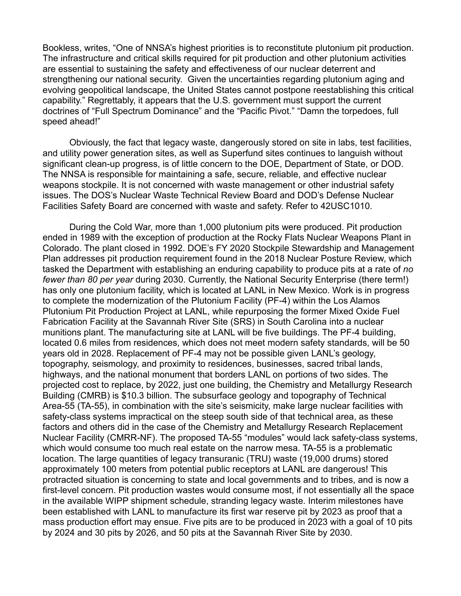Bookless, writes, "One of NNSA's highest priorities is to reconstitute plutonium pit production. The infrastructure and critical skills required for pit production and other plutonium activities are essential to sustaining the safety and effectiveness of our nuclear deterrent and strengthening our national security. Given the uncertainties regarding plutonium aging and evolving geopolitical landscape, the United States cannot postpone reestablishing this critical capability." Regrettably, it appears that the U.S. government must support the current doctrines of "Full Spectrum Dominance" and the "Pacific Pivot." "Damn the torpedoes, full speed ahead!"

 Obviously, the fact that legacy waste, dangerously stored on site in labs, test facilities, and utility power generation sites, as well as Superfund sites continues to languish without significant clean-up progress, is of little concern to the DOE, Department of State, or DOD. The NNSA is responsible for maintaining a safe, secure, reliable, and effective nuclear weapons stockpile. It is not concerned with waste management or other industrial safety issues. The DOS's Nuclear Waste Technical Review Board and DOD's Defense Nuclear Facilities Safety Board are concerned with waste and safety. Refer to 42USC1010.

 During the Cold War, more than 1,000 plutonium pits were produced. Pit production ended in 1989 with the exception of production at the Rocky Flats Nuclear Weapons Plant in Colorado. The plant closed in 1992. DOE's FY 2020 Stockpile Stewardship and Management Plan addresses pit production requirement found in the 2018 Nuclear Posture Review, which tasked the Department with establishing an enduring capability to produce pits at a rate of *no fewer than 80 per year* during 2030. Currently, the National Security Enterprise (there term!) has only one plutonium facility, which is located at LANL in New Mexico. Work is in progress to complete the modernization of the Plutonium Facility (PF-4) within the Los Alamos Plutonium Pit Production Project at LANL, while repurposing the former Mixed Oxide Fuel Fabrication Facility at the Savannah River Site (SRS) in South Carolina into a nuclear munitions plant. The manufacturing site at LANL will be five buildings. The PF-4 building, located 0.6 miles from residences, which does not meet modern safety standards, will be 50 years old in 2028. Replacement of PF-4 may not be possible given LANL's geology, topography, seismology, and proximity to residences, businesses, sacred tribal lands, highways, and the national monument that borders LANL on portions of two sides. The projected cost to replace, by 2022, just one building, the Chemistry and Metallurgy Research Building (CMRB) is \$10.3 billion. The subsurface geology and topography of Technical Area-55 (TA-55), in combination with the site's seismicity, make large nuclear facilities with safety-class systems impractical on the steep south side of that technical area, as these factors and others did in the case of the Chemistry and Metallurgy Research Replacement Nuclear Facility (CMRR-NF). The proposed TA-55 "modules" would lack safety-class systems, which would consume too much real estate on the narrow mesa. TA-55 is a problematic location. The large quantities of legacy transuranic (TRU) waste (19,000 drums) stored approximately 100 meters from potential public receptors at LANL are dangerous! This protracted situation is concerning to state and local governments and to tribes, and is now a first-level concern. Pit production wastes would consume most, if not essentially all the space in the available WIPP shipment schedule, stranding legacy waste. Interim milestones have been established with LANL to manufacture its first war reserve pit by 2023 as proof that a mass production effort may ensue. Five pits are to be produced in 2023 with a goal of 10 pits by 2024 and 30 pits by 2026, and 50 pits at the Savannah River Site by 2030.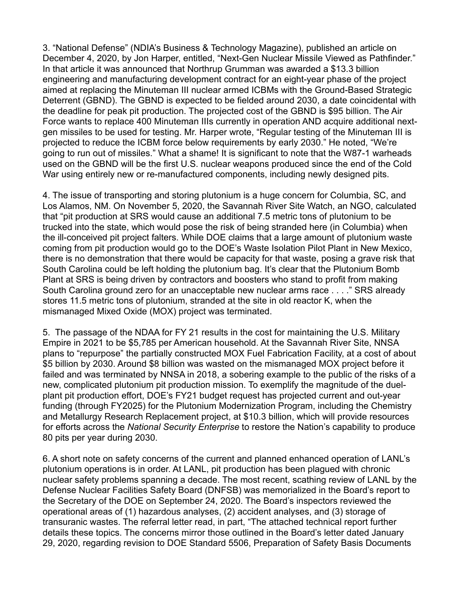3. "National Defense" (NDIA's Business & Technology Magazine), published an article on December 4, 2020, by Jon Harper, entitled, "Next-Gen Nuclear Missile Viewed as Pathfinder." In that article it was announced that Northrup Grumman was awarded a \$13.3 billion engineering and manufacturing development contract for an eight-year phase of the project aimed at replacing the Minuteman III nuclear armed ICBMs with the Ground-Based Strategic Deterrent (GBND). The GBND is expected to be fielded around 2030, a date coincidental with the deadline for peak pit production. The projected cost of the GBND is \$95 billion. The Air Force wants to replace 400 Minuteman IIIs currently in operation AND acquire additional nextgen missiles to be used for testing. Mr. Harper wrote, "Regular testing of the Minuteman III is projected to reduce the ICBM force below requirements by early 2030." He noted, "We're going to run out of missiles." What a shame! It is significant to note that the W87-1 warheads used on the GBND will be the first U.S. nuclear weapons produced since the end of the Cold War using entirely new or re-manufactured components, including newly designed pits.

4. The issue of transporting and storing plutonium is a huge concern for Columbia, SC, and Los Alamos, NM. On November 5, 2020, the Savannah River Site Watch, an NGO, calculated that "pit production at SRS would cause an additional 7.5 metric tons of plutonium to be trucked into the state, which would pose the risk of being stranded here (in Columbia) when the ill-conceived pit project falters. While DOE claims that a large amount of plutonium waste coming from pit production would go to the DOE's Waste Isolation Pilot Plant in New Mexico, there is no demonstration that there would be capacity for that waste, posing a grave risk that South Carolina could be left holding the plutonium bag. It's clear that the Plutonium Bomb Plant at SRS is being driven by contractors and boosters who stand to profit from making South Carolina ground zero for an unacceptable new nuclear arms race . . . ." SRS already stores 11.5 metric tons of plutonium, stranded at the site in old reactor K, when the mismanaged Mixed Oxide (MOX) project was terminated.

5. The passage of the NDAA for FY 21 results in the cost for maintaining the U.S. Military Empire in 2021 to be \$5,785 per American household. At the Savannah River Site, NNSA plans to "repurpose" the partially constructed MOX Fuel Fabrication Facility, at a cost of about \$5 billion by 2030. Around \$8 billion was wasted on the mismanaged MOX project before it failed and was terminated by NNSA in 2018, a sobering example to the public of the risks of a new, complicated plutonium pit production mission. To exemplify the magnitude of the duelplant pit production effort, DOE's FY21 budget request has projected current and out-year funding (through FY2025) for the Plutonium Modernization Program, including the Chemistry and Metallurgy Research Replacement project, at \$10.3 billion, which will provide resources for efforts across the *National Security Enterprise* to restore the Nation's capability to produce 80 pits per year during 2030.

6. A short note on safety concerns of the current and planned enhanced operation of LANL's plutonium operations is in order. At LANL, pit production has been plagued with chronic nuclear safety problems spanning a decade. The most recent, scathing review of LANL by the Defense Nuclear Facilities Safety Board (DNFSB) was memorialized in the Board's report to the Secretary of the DOE on September 24, 2020. The Board's inspectors reviewed the operational areas of (1) hazardous analyses, (2) accident analyses, and (3) storage of transuranic wastes. The referral letter read, in part, "The attached technical report further details these topics. The concerns mirror those outlined in the Board's letter dated January 29, 2020, regarding revision to DOE Standard 5506, Preparation of Safety Basis Documents